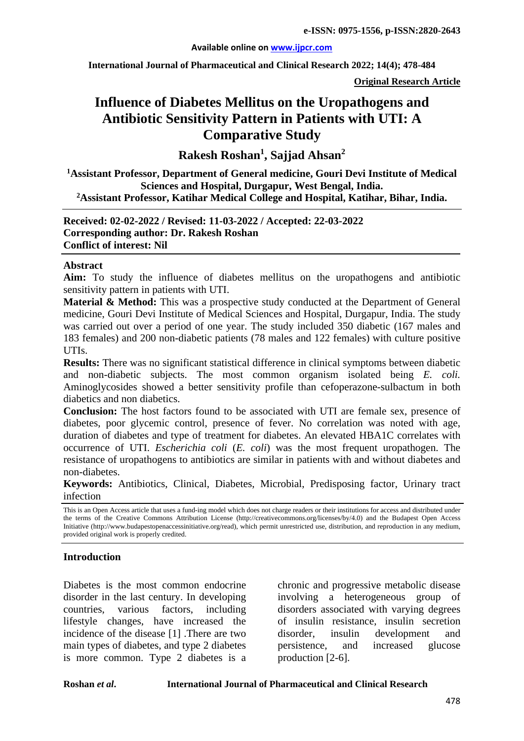#### **Available online on [www.ijpcr.com](http://www.ijpcr.com/)**

**International Journal of Pharmaceutical and Clinical Research 2022; 14(4); 478-484**

**Original Research Article**

# **Influence of Diabetes Mellitus on the Uropathogens and Antibiotic Sensitivity Pattern in Patients with UTI: A Comparative Study**

**Rakesh Roshan1 , Sajjad Ahsan<sup>2</sup>**

**1 Assistant Professor, Department of General medicine, Gouri Devi Institute of Medical Sciences and Hospital, Durgapur, West Bengal, India. 2Assistant Professor, Katihar Medical College and Hospital, Katihar, Bihar, India.**

**Received: 02-02-2022 / Revised: 11-03-2022 / Accepted: 22-03-2022 Corresponding author: Dr. Rakesh Roshan Conflict of interest: Nil**

#### **Abstract**

**Aim:** To study the influence of diabetes mellitus on the uropathogens and antibiotic sensitivity pattern in patients with UTI.

**Material & Method:** This was a prospective study conducted at the Department of General medicine, Gouri Devi Institute of Medical Sciences and Hospital, Durgapur, India. The study was carried out over a period of one year. The study included 350 diabetic (167 males and 183 females) and 200 non-diabetic patients (78 males and 122 females) with culture positive UTIs.

**Results:** There was no significant statistical difference in clinical symptoms between diabetic and non-diabetic subjects. The most common organism isolated being *E. coli.* Aminoglycosides showed a better sensitivity profile than cefoperazone-sulbactum in both diabetics and non diabetics.

**Conclusion:** The host factors found to be associated with UTI are female sex, presence of diabetes, poor glycemic control, presence of fever. No correlation was noted with age, duration of diabetes and type of treatment for diabetes. An elevated HBA1C correlates with occurrence of UTI. *Escherichia coli* (*E. coli*) was the most frequent uropathogen. The resistance of uropathogens to antibiotics are similar in patients with and without diabetes and non-diabetes.

**Keywords:** Antibiotics, Clinical, Diabetes, Microbial, Predisposing factor, Urinary tract infection

## **Introduction**

Diabetes is the most common endocrine disorder in the last century. In developing countries, various factors, including lifestyle changes, have increased the incidence of the disease [1] .There are two main types of diabetes, and type 2 diabetes is more common. Type 2 diabetes is a chronic and progressive metabolic disease involving a heterogeneous group of disorders associated with varying degrees of insulin resistance, insulin secretion disorder, insulin development and persistence, and increased glucose production [2-6].

This is an Open Access article that uses a fund-ing model which does not charge readers or their institutions for access and distributed under the terms of the Creative Commons Attribution License (http://creativecommons.org/licenses/by/4.0) and the Budapest Open Access Initiative (http://www.budapestopenaccessinitiative.org/read), which permit unrestricted use, distribution, and reproduction in any medium, provided original work is properly credited.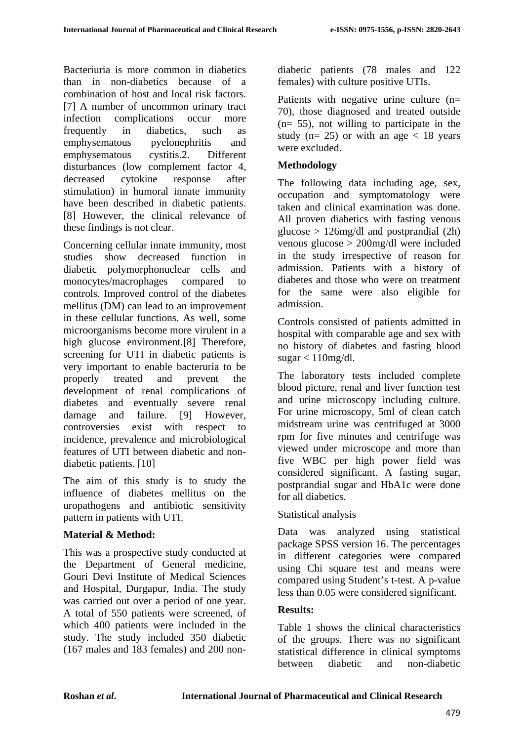Bacteriuria is more common in diabetics than in non-diabetics because of a combination of host and local risk factors. [7] A number of uncommon urinary tract infection complications occur more frequently in diabetics, such as emphysematous pyelonephritis and emphysematous cystitis.2. Different disturbances (low complement factor 4, decreased cytokine response after stimulation) in humoral innate immunity have been described in diabetic patients. [8] However, the clinical relevance of these findings is not clear.

Concerning cellular innate immunity, most studies show decreased function in diabetic polymorphonuclear cells and monocytes/macrophages compared to controls. Improved control of the diabetes mellitus (DM) can lead to an improvement in these cellular functions. As well, some microorganisms become more virulent in a high glucose environment.[8] Therefore, screening for UTI in diabetic patients is very important to enable bacteruria to be properly treated and prevent the development of renal complications of diabetes and eventually severe renal damage and failure. [9] However, controversies exist with respect to incidence, prevalence and microbiological features of UTI between diabetic and nondiabetic patients. [10]

The aim of this study is to study the influence of diabetes mellitus on the uropathogens and antibiotic sensitivity pattern in patients with UTI.

## **Material & Method:**

This was a prospective study conducted at the Department of General medicine, Gouri Devi Institute of Medical Sciences and Hospital, Durgapur, India. The study was carried out over a period of one year. A total of 550 patients were screened, of which 400 patients were included in the study. The study included 350 diabetic (167 males and 183 females) and 200 nondiabetic patients (78 males and 122 females) with culture positive UTIs.

Patients with negative urine culture (n= 70), those diagnosed and treated outside (n= 55), not willing to participate in the study ( $n= 25$ ) or with an age  $\lt 18$  years were excluded.

## **Methodology**

The following data including age, sex, occupation and symptomatology were taken and clinical examination was done. All proven diabetics with fasting venous glucose  $> 126$ mg/dl and postprandial (2h) venous glucose > 200mg/dl were included in the study irrespective of reason for admission. Patients with a history of diabetes and those who were on treatment for the same were also eligible for admission.

Controls consisted of patients admitted in hospital with comparable age and sex with no history of diabetes and fasting blood  $sugar < 110mg/dl$ .

The laboratory tests included complete blood picture, renal and liver function test and urine microscopy including culture. For urine microscopy, 5ml of clean catch midstream urine was centrifuged at 3000 rpm for five minutes and centrifuge was viewed under microscope and more than five WBC per high power field was considered significant. A fasting sugar, postprandial sugar and HbA1c were done for all diabetics.

## Statistical analysis

Data was analyzed using statistical package SPSS version 16. The percentages in different categories were compared using Chi square test and means were compared using Student's t-test. A p-value less than 0.05 were considered significant.

## **Results:**

Table 1 shows the clinical characteristics of the groups. There was no significant statistical difference in clinical symptoms between diabetic and non-diabetic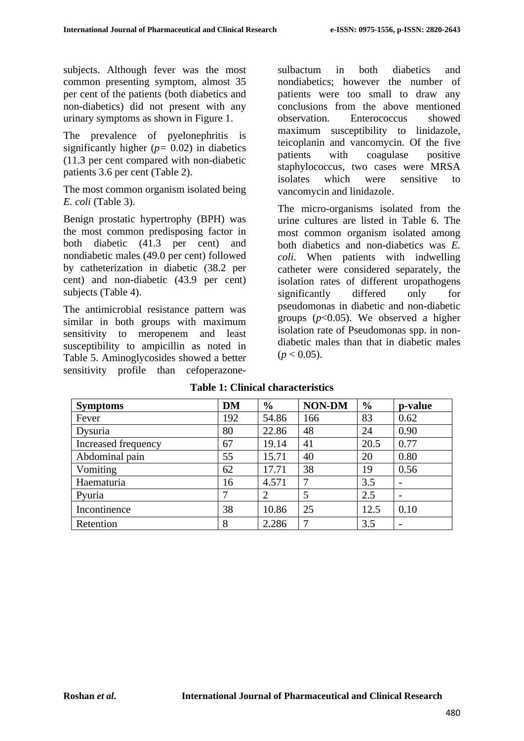subjects. Although fever was the most common presenting symptom, almost 35 per cent of the patients (both diabetics and non-diabetics) did not present with any urinary symptoms as shown in Figure 1.

The prevalence of pyelonephritis is significantly higher  $(p= 0.02)$  in diabetics (11.3 per cent compared with non-diabetic patients 3.6 per cent (Table 2).

The most common organism isolated being *E. coli* (Table 3).

Benign prostatic hypertrophy (BPH) was the most common predisposing factor in both diabetic (41.3 per cent) and nondiabetic males (49.0 per cent) followed by catheterization in diabetic (38.2 per cent) and non-diabetic (43.9 per cent) subjects (Table 4).

The antimicrobial resistance pattern was similar in both groups with maximum sensitivity to meropenem and least susceptibility to ampicillin as noted in Table 5. Aminoglycosides showed a better sensitivity profile than cefoperazonesulbactum in both diabetics and nondiabetics; however the number of patients were too small to draw any conclusions from the above mentioned observation. Enterococcus showed maximum susceptibility to linidazole, teicoplanin and vancomycin. Of the five patients with coagulase positive staphylococcus, two cases were MRSA isolates which were sensitive to vancomycin and linidazole.

The micro-organisms isolated from the urine cultures are listed in Table 6. The most common organism isolated among both diabetics and non-diabetics was *E. coli*. When patients with indwelling catheter were considered separately, the isolation rates of different uropathogens significantly differed only for pseudomonas in diabetic and non-diabetic groups (*p*<0.05). We observed a higher isolation rate of Pseudomonas spp. in nondiabetic males than that in diabetic males  $(p < 0.05)$ .

| <b>Symptoms</b>     | <b>DM</b> | $\frac{6}{6}$ | <b>NON-DM</b> | $\frac{6}{6}$ | p-value                  |
|---------------------|-----------|---------------|---------------|---------------|--------------------------|
| Fever               | 192       | 54.86         | 166           | 83            | 0.62                     |
| Dysuria             | 80        | 22.86         | 48            | 24            | 0.90                     |
| Increased frequency | 67        | 19.14         | 41            | 20.5          | 0.77                     |
| Abdominal pain      | 55        | 15.71         | 40            | 20            | 0.80                     |
| Vomiting            | 62        | 17.71         | 38            | 19            | 0.56                     |
| Haematuria          | 16        | 4.571         | 7             | 3.5           |                          |
| Pyuria              | 7         | 2             | 5             | 2.5           | $\overline{\phantom{0}}$ |
| Incontinence        | 38        | 10.86         | 25            | 12.5          | 0.10                     |
| Retention           | 8         | 2.286         | 7             | 3.5           | $\overline{\phantom{a}}$ |

#### **Table 1: Clinical characteristics**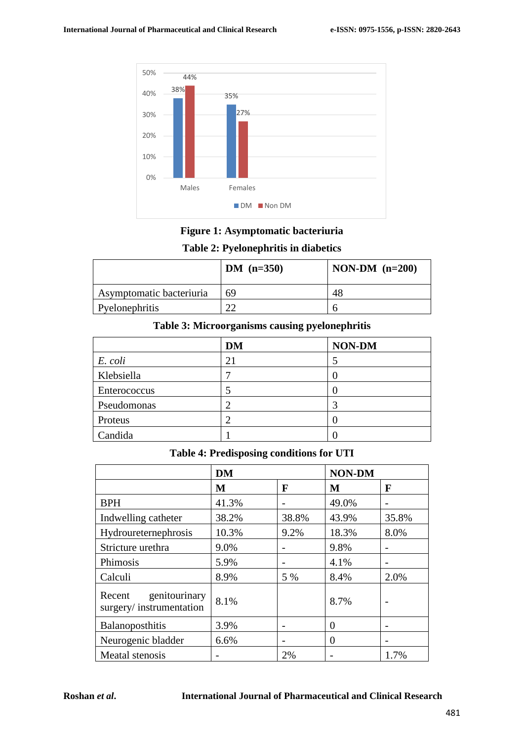

**Figure 1: Asymptomatic bacteriuria**

# **Table 2: Pyelonephritis in diabetics**

|                          | $DM (n=350)$ | NON-DM $(n=200)$ |
|--------------------------|--------------|------------------|
| Asymptomatic bacteriuria | 69           |                  |
| Pyelonephritis           | ີ            |                  |

# **Table 3: Microorganisms causing pyelonephritis**

|              | <b>DM</b> | NON-DM |
|--------------|-----------|--------|
| E. coli      | 21        |        |
| Klebsiella   |           |        |
| Enterococcus |           |        |
| Pseudomonas  |           |        |
| Proteus      |           |        |
| Candida      |           |        |

#### **Table 4: Predisposing conditions for UTI**

|                                                    | <b>DM</b> |       | <b>NON-DM</b> |       |
|----------------------------------------------------|-----------|-------|---------------|-------|
|                                                    | M         | F     | M             | F     |
| <b>BPH</b>                                         | 41.3%     |       | 49.0%         |       |
| Indwelling catheter                                | 38.2%     | 38.8% | 43.9%         | 35.8% |
| Hydroureternephrosis                               | 10.3%     | 9.2%  | 18.3%         | 8.0%  |
| Stricture urethra                                  | 9.0%      |       | 9.8%          |       |
| Phimosis                                           | 5.9%      |       | 4.1%          |       |
| Calculi                                            | 8.9%      | 5 %   | 8.4%          | 2.0%  |
| genitourinary<br>Recent<br>surgery/instrumentation | 8.1%      |       | 8.7%          |       |
| Balanoposthitis                                    | 3.9%      |       | 0             |       |
| Neurogenic bladder                                 | 6.6%      |       | 0             |       |
| Meatal stenosis                                    |           | 2%    |               | 1.7%  |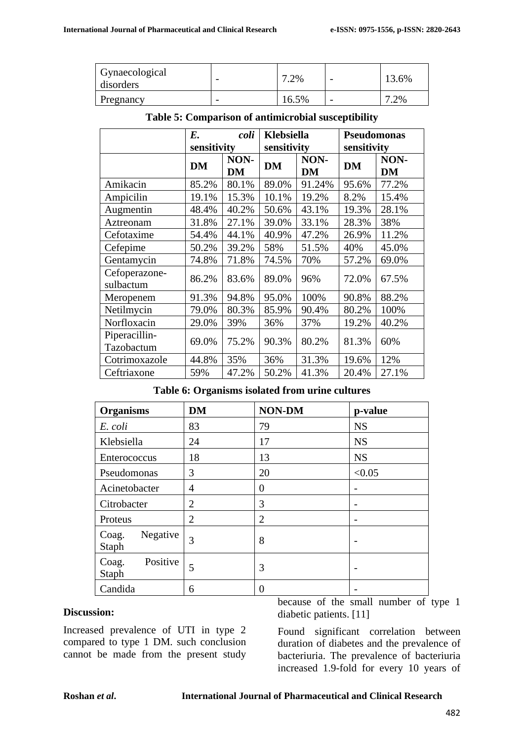| Gynaecological<br>disorders | 7.2%     | 3.6% |
|-----------------------------|----------|------|
| Pregnancy                   | $16.5\%$ | 7.2% |

|                             | E.          | coli              | Klebsiella  |                   | <b>Pseudomonas</b> |                   |
|-----------------------------|-------------|-------------------|-------------|-------------------|--------------------|-------------------|
|                             | sensitivity |                   | sensitivity |                   | sensitivity        |                   |
|                             | <b>DM</b>   | NON-<br><b>DM</b> | <b>DM</b>   | NON-<br><b>DM</b> | <b>DM</b>          | NON-<br><b>DM</b> |
| Amikacin                    | 85.2%       | 80.1%             | 89.0%       | 91.24%            | 95.6%              | 77.2%             |
| Ampicilin                   | 19.1%       | 15.3%             | 10.1%       | 19.2%             | 8.2%               | 15.4%             |
| Augmentin                   | 48.4%       | 40.2%             | 50.6%       | 43.1%             | 19.3%              | 28.1%             |
| Aztreonam                   | 31.8%       | 27.1%             | 39.0%       | 33.1%             | 28.3%              | 38%               |
| Cefotaxime                  | 54.4%       | 44.1%             | 40.9%       | 47.2%             | 26.9%              | 11.2%             |
| Cefepime                    | 50.2%       | 39.2%             | 58%         | 51.5%             | 40%                | 45.0%             |
| Gentamycin                  | 74.8%       | 71.8%             | 74.5%       | 70%               | 57.2%              | 69.0%             |
| Cefoperazone-<br>sulbactum  | 86.2%       | 83.6%             | 89.0%       | 96%               | 72.0%              | 67.5%             |
| Meropenem                   | 91.3%       | 94.8%             | 95.0%       | 100%              | 90.8%              | 88.2%             |
| Netilmycin                  | 79.0%       | 80.3%             | 85.9%       | 90.4%             | 80.2%              | 100%              |
| Norfloxacin                 | 29.0%       | 39%               | 36%         | 37%               | 19.2%              | 40.2%             |
| Piperacillin-<br>Tazobactum | 69.0%       | 75.2%             | 90.3%       | 80.2%             | 81.3%              | 60%               |
| Cotrimoxazole               | 44.8%       | 35%               | 36%         | 31.3%             | 19.6%              | 12%               |
| Ceftriaxone                 | 59%         | 47.2%             | 50.2%       | 41.3%             | 20.4%              | 27.1%             |

#### **Table 5: Comparison of antimicrobial susceptibility**

**Table 6: Organisms isolated from urine cultures**

| <b>Organisms</b>           | <b>DM</b>      | <b>NON-DM</b>  | p-value   |
|----------------------------|----------------|----------------|-----------|
| E. coli                    | 83             | 79             | <b>NS</b> |
| Klebsiella                 | 24             | 17             | <b>NS</b> |
| Enterococcus               | 18             | 13             | <b>NS</b> |
| Pseudomonas                | 3              | 20             | < 0.05    |
| Acinetobacter              | 4              | $\theta$       |           |
| Citrobacter                | $\overline{2}$ | 3              |           |
| Proteus                    | 2              | $\overline{2}$ |           |
| Negative<br>Coag.<br>Staph | 3              | 8              |           |
| Positive<br>Coag.<br>Staph | 5              | 3              |           |
| Candida                    | 6              | 0              |           |

#### **Discussion:**

Increased prevalence of UTI in type 2 compared to type 1 DM. such conclusion cannot be made from the present study because of the small number of type 1 diabetic patients. [11]

Found significant correlation between duration of diabetes and the prevalence of bacteriuria. The prevalence of bacteriuria increased 1.9-fold for every 10 years of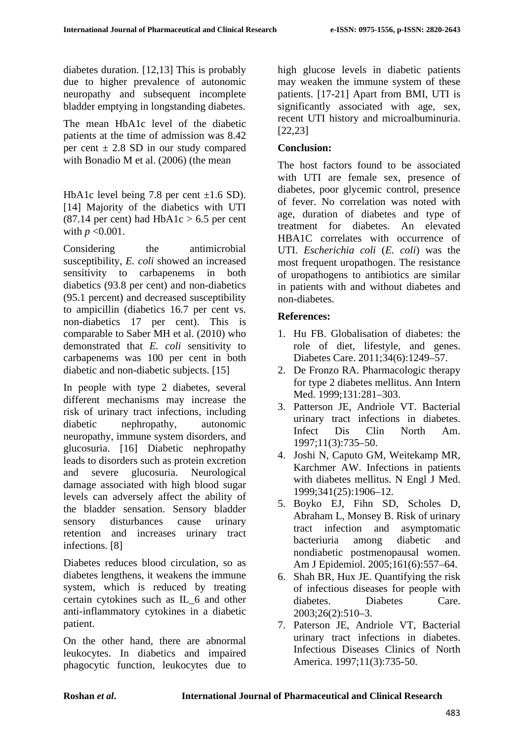diabetes duration. [12,13] This is probably due to higher prevalence of autonomic neuropathy and subsequent incomplete bladder emptying in longstanding diabetes.

The mean HbA1c level of the diabetic patients at the time of admission was 8.42 per cent  $\pm$  2.8 SD in our study compared with Bonadio M et al. (2006) (the mean

HbA1c level being 7.8 per cent  $\pm 1.6$  SD). [14] Majority of the diabetics with UTI  $(87.14$  per cent) had HbA1c > 6.5 per cent with *p* <0.001.

Considering the antimicrobial susceptibility, *E. coli* showed an increased sensitivity to carbapenems in both diabetics (93.8 per cent) and non-diabetics (95.1 percent) and decreased susceptibility to ampicillin (diabetics 16.7 per cent vs. non-diabetics 17 per cent). This is comparable to Saber MH et al. (2010) who demonstrated that *E. coli* sensitivity to carbapenems was 100 per cent in both diabetic and non-diabetic subjects. [15]

In people with type 2 diabetes, several different mechanisms may increase the risk of urinary tract infections, including diabetic nephropathy, autonomic neuropathy, immune system disorders, and glucosuria. [16] Diabetic nephropathy leads to disorders such as protein excretion and severe glucosuria. Neurological damage associated with high blood sugar levels can adversely affect the ability of the bladder sensation. Sensory bladder sensory disturbances cause urinary retention and increases urinary tract infections. [8]

Diabetes reduces blood circulation, so as diabetes lengthens, it weakens the immune system, which is reduced by treating certain cytokines such as IL\_6 and other anti-inflammatory cytokines in a diabetic patient.

On the other hand, there are abnormal leukocytes. In diabetics and impaired phagocytic function, leukocytes due to high glucose levels in diabetic patients may weaken the immune system of these patients. [17-21] Apart from BMI, UTI is significantly associated with age, sex, recent UTI history and microalbuminuria. [22,23]

# **Conclusion:**

The host factors found to be associated with UTI are female sex, presence of diabetes, poor glycemic control, presence of fever. No correlation was noted with age, duration of diabetes and type of treatment for diabetes. An elevated HBA1C correlates with occurrence of UTI. *Escherichia coli* (*E. coli*) was the most frequent uropathogen. The resistance of uropathogens to antibiotics are similar in patients with and without diabetes and non-diabetes.

# **References:**

- 1. Hu FB. Globalisation of diabetes: the role of diet, lifestyle, and genes. Diabetes Care. 2011;34(6):1249–57.
- 2. De Fronzo RA. Pharmacologic therapy for type 2 diabetes mellitus. Ann Intern Med. 1999;131:281–303.
- 3. Patterson JE, Andriole VT. Bacterial urinary tract infections in diabetes. Infect Dis Clin North Am. 1997;11(3):735–50.
- 4. Joshi N, Caputo GM, Weitekamp MR, Karchmer AW. Infections in patients with diabetes mellitus. N Engl J Med. 1999;341(25):1906–12.
- 5. Boyko EJ, Fihn SD, Scholes D, Abraham L, Monsey B. Risk of urinary tract infection and asymptomatic bacteriuria among diabetic and nondiabetic postmenopausal women. Am J Epidemiol. 2005;161(6):557–64.
- 6. Shah BR, Hux JE. Quantifying the risk of infectious diseases for people with diabetes. Diabetes Care. 2003;26(2):510–3.
- 7. Paterson JE, Andriole VT, Bacterial urinary tract infections in diabetes. Infectious Diseases Clinics of North America. 1997;11(3):735-50.